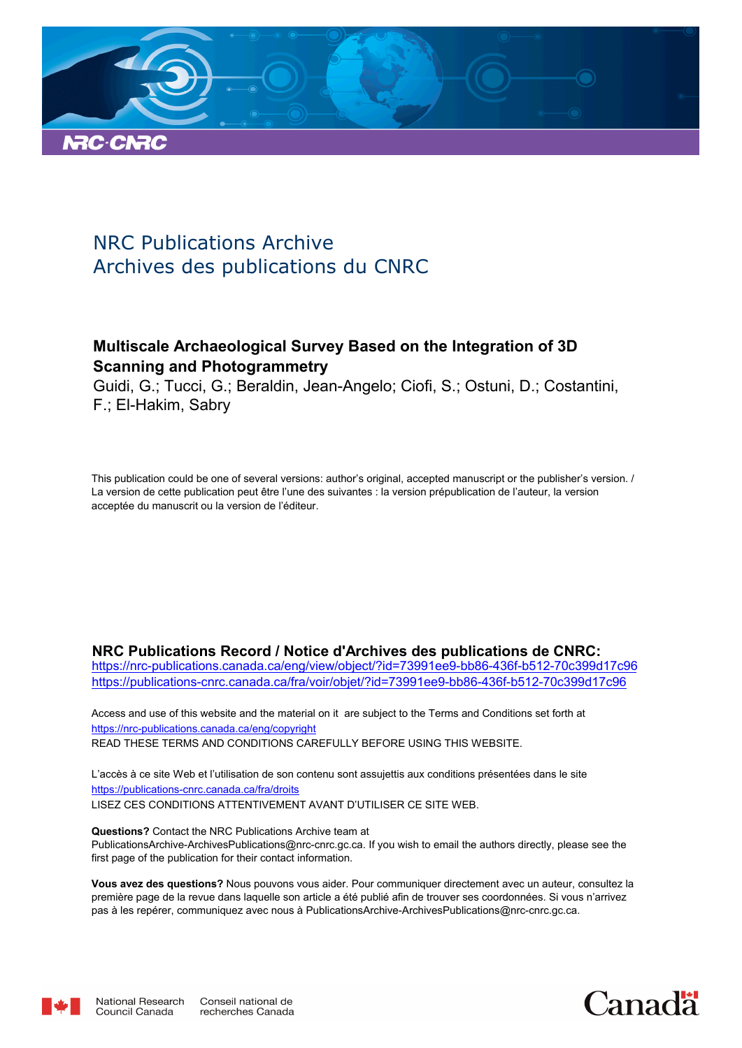

# NRC Publications Archive Archives des publications du CNRC

# **Multiscale Archaeological Survey Based on the Integration of 3D Scanning and Photogrammetry**

Guidi, G.; Tucci, G.; Beraldin, Jean-Angelo; Ciofi, S.; Ostuni, D.; Costantini, F.; El-Hakim, Sabry

This publication could be one of several versions: author's original, accepted manuscript or the publisher's version. / La version de cette publication peut être l'une des suivantes : la version prépublication de l'auteur, la version acceptée du manuscrit ou la version de l'éditeur.

# **NRC Publications Record / Notice d'Archives des publications de CNRC:**

https://nrc-publications.canada.ca/eng/view/object/?id=73991ee9-bb86-436f-b512-70c399d17c96 https://publications-cnrc.canada.ca/fra/voir/objet/?id=73991ee9-bb86-436f-b512-70c399d17c96

READ THESE TERMS AND CONDITIONS CAREFULLY BEFORE USING THIS WEBSITE. https://nrc-publications.canada.ca/eng/copyright Access and use of this website and the material on it are subject to the Terms and Conditions set forth at

https://publications-cnrc.canada.ca/fra/droits L'accès à ce site Web et l'utilisation de son contenu sont assujettis aux conditions présentées dans le site LISEZ CES CONDITIONS ATTENTIVEMENT AVANT D'UTILISER CE SITE WEB.

**Questions?** Contact the NRC Publications Archive team at PublicationsArchive-ArchivesPublications@nrc-cnrc.gc.ca. If you wish to email the authors directly, please see the first page of the publication for their contact information.

**Vous avez des questions?** Nous pouvons vous aider. Pour communiquer directement avec un auteur, consultez la première page de la revue dans laquelle son article a été publié afin de trouver ses coordonnées. Si vous n'arrivez pas à les repérer, communiquez avec nous à PublicationsArchive-ArchivesPublications@nrc-cnrc.gc.ca.



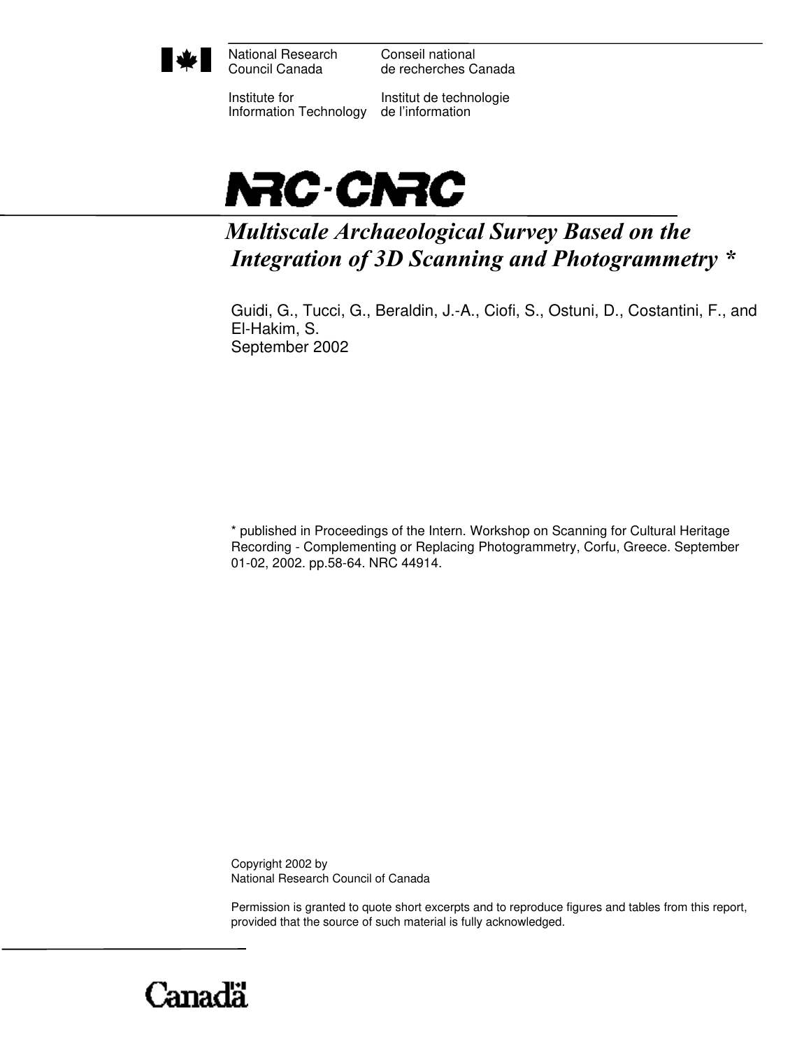

National Research Council Canada

Conseil national de recherches Canada

Institute for Information Technology

Institut de technologie de l'information



# *Multiscale Archaeological Survey Based on the Integration of 3D Scanning and Photogrammetry \**

Guidi, G., Tucci, G., Beraldin, J.-A., Ciofi, S., Ostuni, D., Costantini, F., and El-Hakim, S. September 2002

\* published in Proceedings of the Intern. Workshop on Scanning for Cultural Heritage Recording - Complementing or Replacing Photogrammetry, Corfu, Greece. September 01-02, 2002. pp.58-64. NRC 44914.

Copyright 2002 by National Research Council of Canada

Permission is granted to quote short excerpts and to reproduce figures and tables from this report, provided that the source of such material is fully acknowledged.

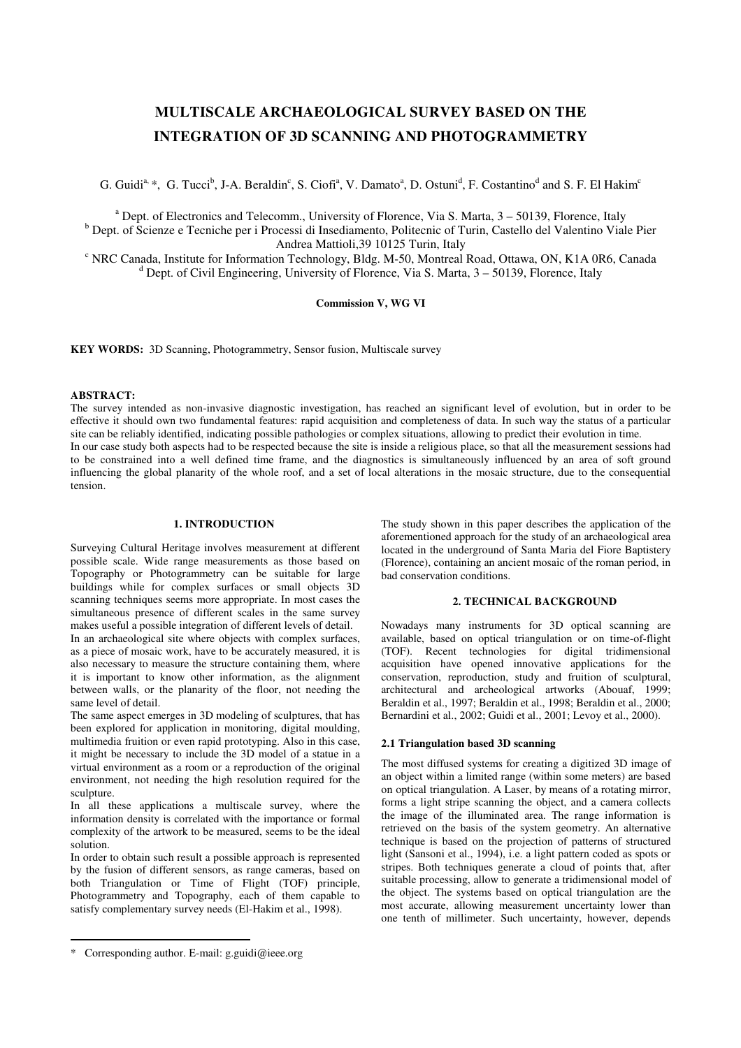# **MULTISCALE ARCHAEOLOGICAL SURVEY BASED ON THE INTEGRATION OF 3D SCANNING AND PHOTOGRAMMETRY**

G. Guidi<sup>a, \*</sup>, G. Tucci<sup>b</sup>, J-A. Beraldin<sup>c</sup>, S. Ciofi<sup>a</sup>, V. Damato<sup>a</sup>, D. Ostuni<sup>d</sup>, F. Costantino<sup>d</sup> and S. F. El Hakim<sup>c</sup>

<sup>a</sup> Dept. of Electronics and Telecomm., University of Florence, Via S. Marta, 3 - 50139, Florence, Italy <sup>b</sup> Dept. of Scienze e Tecniche per i Processi di Insediamento, Politecnic of Turin, Castello del Valentino Viale Pier

Andrea Mattioli,39 10125 Turin, Italy

<sup>c</sup> NRC Canada, Institute for Information Technology, Bldg. M-50, Montreal Road, Ottawa, ON, K1A 0R6, Canada <sup>d</sup> Dept. of Civil Engineering, University of Florence, Via S. Marta, 3 - 50139, Florence, Italy

## **Commission V, WG VI**

**KEY WORDS:** 3D Scanning, Photogrammetry, Sensor fusion, Multiscale survey

#### **ABSTRACT:**

The survey intended as non-invasive diagnostic investigation, has reached an significant level of evolution, but in order to be effective it should own two fundamental features: rapid acquisition and completeness of data. In such way the status of a particular site can be reliably identified, indicating possible pathologies or complex situations, allowing to predict their evolution in time. In our case study both aspects had to be respected because the site is inside a religious place, so that all the measurement sessions had to be constrained into a well defined time frame, and the diagnostics is simultaneously influenced by an area of soft ground influencing the global planarity of the whole roof, and a set of local alterations in the mosaic structure, due to the consequential tension.

# **1. INTRODUCTION**

Surveying Cultural Heritage involves measurement at different possible scale. Wide range measurements as those based on Topography or Photogrammetry can be suitable for large buildings while for complex surfaces or small objects 3D scanning techniques seems more appropriate. In most cases the simultaneous presence of different scales in the same survey makes useful a possible integration of different levels of detail.

In an archaeological site where objects with complex surfaces, as a piece of mosaic work, have to be accurately measured, it is also necessary to measure the structure containing them, where it is important to know other information, as the alignment between walls, or the planarity of the floor, not needing the same level of detail.

The same aspect emerges in 3D modeling of sculptures, that has been explored for application in monitoring, digital moulding, multimedia fruition or even rapid prototyping. Also in this case, it might be necessary to include the 3D model of a statue in a virtual environment as a room or a reproduction of the original environment, not needing the high resolution required for the sculpture.

In all these applications a multiscale survey, where the information density is correlated with the importance or formal complexity of the artwork to be measured, seems to be the ideal solution.

In order to obtain such result a possible approach is represented by the fusion of different sensors, as range cameras, based on both Triangulation or Time of Flight (TOF) principle, Photogrammetry and Topography, each of them capable to satisfy complementary survey needs (El-Hakim et al., 1998).

The study shown in this paper describes the application of the aforementioned approach for the study of an archaeological area located in the underground of Santa Maria del Fiore Baptistery (Florence), containing an ancient mosaic of the roman period, in bad conservation conditions.

#### **2. TECHNICAL BACKGROUND**

Nowadays many instruments for 3D optical scanning are available, based on optical triangulation or on time-of-flight (TOF). Recent technologies for digital tridimensional acquisition have opened innovative applications for the conservation, reproduction, study and fruition of sculptural, architectural and archeological artworks (Abouaf, 1999; Beraldin et al., 1997; Beraldin et al., 1998; Beraldin et al., 2000; Bernardini et al., 2002; Guidi et al., 2001; Levoy et al., 2000).

## **2.1 Triangulation based 3D scanning**

The most diffused systems for creating a digitized 3D image of an object within a limited range (within some meters) are based on optical triangulation. A Laser, by means of a rotating mirror, forms a light stripe scanning the object, and a camera collects the image of the illuminated area. The range information is retrieved on the basis of the system geometry. An alternative technique is based on the projection of patterns of structured light (Sansoni et al., 1994), i.e. a light pattern coded as spots or stripes. Both techniques generate a cloud of points that, after suitable processing, allow to generate a tridimensional model of the object. The systems based on optical triangulation are the most accurate, allowing measurement uncertainty lower than one tenth of millimeter. Such uncertainty, however, depends

<sup>\*</sup> Corresponding author. E-mail: g.guidi@ieee.org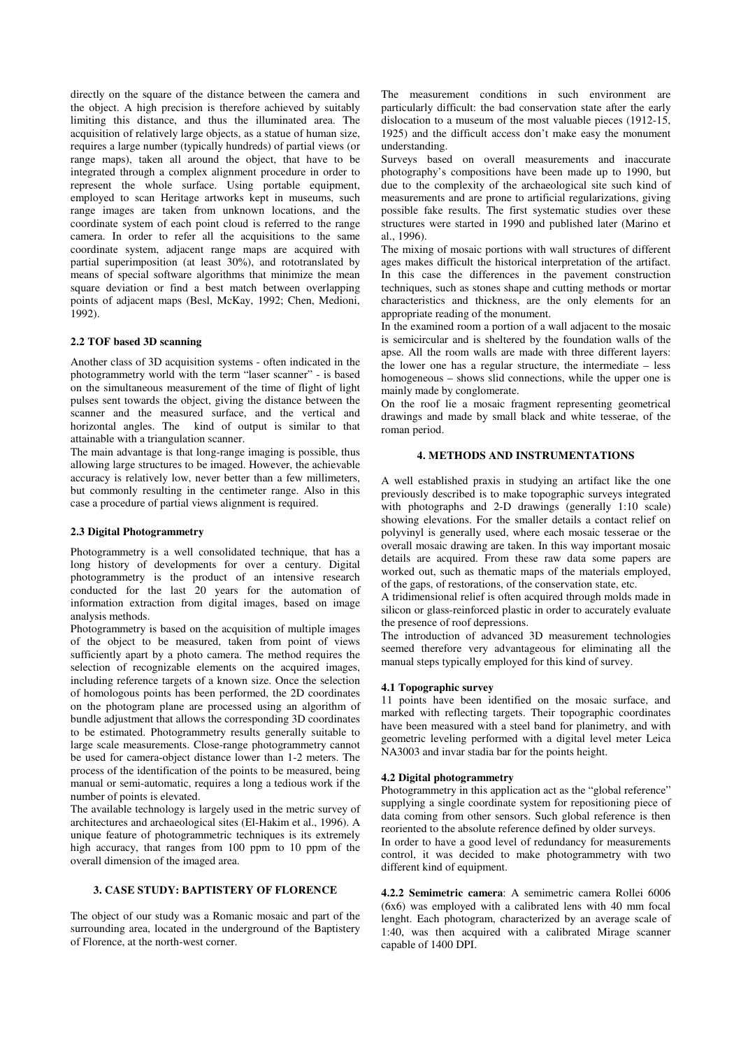directly on the square of the distance between the camera and the object. A high precision is therefore achieved by suitably limiting this distance, and thus the illuminated area. The acquisition of relatively large objects, as a statue of human size, requires a large number (typically hundreds) of partial views (or range maps), taken all around the object, that have to be integrated through a complex alignment procedure in order to represent the whole surface. Using portable equipment, employed to scan Heritage artworks kept in museums, such range images are taken from unknown locations, and the coordinate system of each point cloud is referred to the range camera. In order to refer all the acquisitions to the same coordinate system, adjacent range maps are acquired with partial superimposition (at least 30%), and rototranslated by means of special software algorithms that minimize the mean square deviation or find a best match between overlapping points of adjacent maps (Besl, McKay, 1992; Chen, Medioni, 1992).

#### **2.2 TOF based 3D scanning**

Another class of 3D acquisition systems - often indicated in the photogrammetry world with the term "laser scanner" - is based on the simultaneous measurement of the time of flight of light pulses sent towards the object, giving the distance between the scanner and the measured surface, and the vertical and horizontal angles. The kind of output is similar to that attainable with a triangulation scanner.

The main advantage is that long-range imaging is possible, thus allowing large structures to be imaged. However, the achievable accuracy is relatively low, never better than a few millimeters, but commonly resulting in the centimeter range. Also in this case a procedure of partial views alignment is required.

#### **2.3 Digital Photogrammetry**

Photogrammetry is a well consolidated technique, that has a long history of developments for over a century. Digital photogrammetry is the product of an intensive research conducted for the last 20 years for the automation of information extraction from digital images, based on image analysis methods.

Photogrammetry is based on the acquisition of multiple images of the object to be measured, taken from point of views sufficiently apart by a photo camera. The method requires the selection of recognizable elements on the acquired images, including reference targets of a known size. Once the selection of homologous points has been performed, the 2D coordinates on the photogram plane are processed using an algorithm of bundle adjustment that allows the corresponding 3D coordinates to be estimated. Photogrammetry results generally suitable to large scale measurements. Close-range photogrammetry cannot be used for camera-object distance lower than 1-2 meters. The process of the identification of the points to be measured, being manual or semi-automatic, requires a long a tedious work if the number of points is elevated.

The available technology is largely used in the metric survey of architectures and archaeological sites (El-Hakim et al., 1996). A unique feature of photogrammetric techniques is its extremely high accuracy, that ranges from 100 ppm to 10 ppm of the overall dimension of the imaged area.

# **3. CASE STUDY: BAPTISTERY OF FLORENCE**

The object of our study was a Romanic mosaic and part of the surrounding area, located in the underground of the Baptistery of Florence, at the north-west corner.

The measurement conditions in such environment are particularly difficult: the bad conservation state after the early dislocation to a museum of the most valuable pieces (1912-15, 1925) and the difficult access don't make easy the monument understanding.

Surveys based on overall measurements and inaccurate photography's compositions have been made up to 1990, but due to the complexity of the archaeological site such kind of measurements and are prone to artificial regularizations, giving possible fake results. The first systematic studies over these structures were started in 1990 and published later (Marino et al., 1996).

The mixing of mosaic portions with wall structures of different ages makes difficult the historical interpretation of the artifact. In this case the differences in the pavement construction techniques, such as stones shape and cutting methods or mortar characteristics and thickness, are the only elements for an appropriate reading of the monument.

In the examined room a portion of a wall adjacent to the mosaic is semicircular and is sheltered by the foundation walls of the apse. All the room walls are made with three different layers: the lower one has a regular structure, the intermediate – less homogeneous – shows slid connections, while the upper one is mainly made by conglomerate.

On the roof lie a mosaic fragment representing geometrical drawings and made by small black and white tesserae, of the roman period.

# **4. METHODS AND INSTRUMENTATIONS**

A well established praxis in studying an artifact like the one previously described is to make topographic surveys integrated with photographs and 2-D drawings (generally 1:10 scale) showing elevations. For the smaller details a contact relief on polyvinyl is generally used, where each mosaic tesserae or the overall mosaic drawing are taken. In this way important mosaic details are acquired. From these raw data some papers are worked out, such as thematic maps of the materials employed, of the gaps, of restorations, of the conservation state, etc.

A tridimensional relief is often acquired through molds made in silicon or glass-reinforced plastic in order to accurately evaluate the presence of roof depressions.

The introduction of advanced 3D measurement technologies seemed therefore very advantageous for eliminating all the manual steps typically employed for this kind of survey.

#### **4.1 Topographic survey**

11 points have been identified on the mosaic surface, and marked with reflecting targets. Their topographic coordinates have been measured with a steel band for planimetry, and with geometric leveling performed with a digital level meter Leica NA3003 and invar stadia bar for the points height.

#### **4.2 Digital photogrammetry**

Photogrammetry in this application act as the "global reference" supplying a single coordinate system for repositioning piece of data coming from other sensors. Such global reference is then reoriented to the absolute reference defined by older surveys.

In order to have a good level of redundancy for measurements control, it was decided to make photogrammetry with two different kind of equipment.

**4.2.2 Semimetric camera**: A semimetric camera Rollei 6006 (6x6) was employed with a calibrated lens with 40 mm focal lenght. Each photogram, characterized by an average scale of 1:40, was then acquired with a calibrated Mirage scanner capable of 1400 DPI.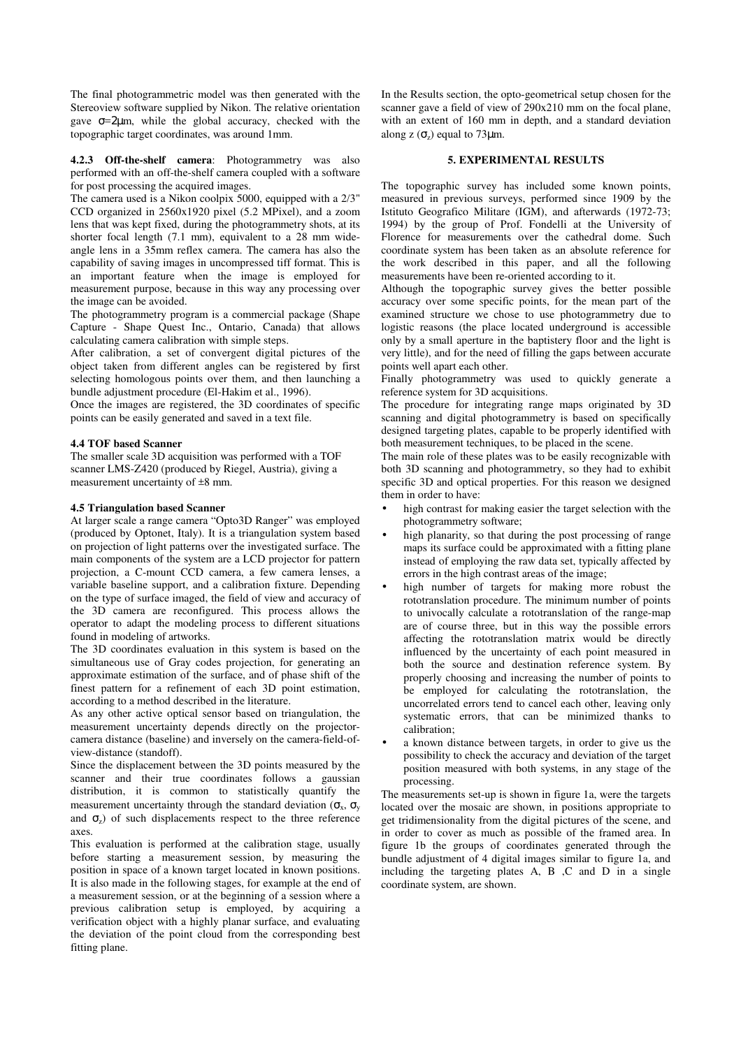The final photogrammetric model was then generated with the Stereoview software supplied by Nikon. The relative orientation gave  $\sigma = 2\mu$ m, while the global accuracy, checked with the topographic target coordinates, was around 1mm.

**4.2.3 Off-the-shelf camera**: Photogrammetry was also performed with an off-the-shelf camera coupled with a software for post processing the acquired images.

The camera used is a Nikon coolpix 5000, equipped with a 2/3" CCD organized in 2560x1920 pixel (5.2 MPixel), and a zoom lens that was kept fixed, during the photogrammetry shots, at its shorter focal length (7.1 mm), equivalent to a 28 mm wideangle lens in a 35mm reflex camera. The camera has also the capability of saving images in uncompressed tiff format. This is an important feature when the image is employed for measurement purpose, because in this way any processing over the image can be avoided.

The photogrammetry program is a commercial package (Shape Capture - Shape Quest Inc., Ontario, Canada) that allows calculating camera calibration with simple steps.

After calibration, a set of convergent digital pictures of the object taken from different angles can be registered by first selecting homologous points over them, and then launching a bundle adjustment procedure (El-Hakim et al., 1996).

Once the images are registered, the 3D coordinates of specific points can be easily generated and saved in a text file.

## **4.4 TOF based Scanner**

The smaller scale 3D acquisition was performed with a TOF scanner LMS-Z420 (produced by Riegel, Austria), giving a measurement uncertainty of ±8 mm.

#### **4.5 Triangulation based Scanner**

At larger scale a range camera "Opto3D Ranger" was employed (produced by Optonet, Italy). It is a triangulation system based on projection of light patterns over the investigated surface. The main components of the system are a LCD projector for pattern projection, a C-mount CCD camera, a few camera lenses, a variable baseline support, and a calibration fixture. Depending on the type of surface imaged, the field of view and accuracy of the 3D camera are reconfigured. This process allows the operator to adapt the modeling process to different situations found in modeling of artworks.

The 3D coordinates evaluation in this system is based on the simultaneous use of Gray codes projection, for generating an approximate estimation of the surface, and of phase shift of the finest pattern for a refinement of each 3D point estimation, according to a method described in the literature.

As any other active optical sensor based on triangulation, the measurement uncertainty depends directly on the projectorcamera distance (baseline) and inversely on the camera-field-ofview-distance (standoff).

Since the displacement between the 3D points measured by the scanner and their true coordinates follows a gaussian distribution, it is common to statistically quantify the measurement uncertainty through the standard deviation ( $\sigma_x$ ,  $\sigma_y$ ) and  $\sigma_z$ ) of such displacements respect to the three reference axes.

This evaluation is performed at the calibration stage, usually before starting a measurement session, by measuring the position in space of a known target located in known positions. It is also made in the following stages, for example at the end of a measurement session, or at the beginning of a session where a previous calibration setup is employed, by acquiring a verification object with a highly planar surface, and evaluating the deviation of the point cloud from the corresponding best fitting plane.

In the Results section, the opto-geometrical setup chosen for the scanner gave a field of view of 290x210 mm on the focal plane, with an extent of 160 mm in depth, and a standard deviation along  $z(\sigma_z)$  equal to 73 $\mu$ m.

# **5. EXPERIMENTAL RESULTS**

The topographic survey has included some known points, measured in previous surveys, performed since 1909 by the Istituto Geografico Militare (IGM), and afterwards (1972-73; 1994) by the group of Prof. Fondelli at the University of Florence for measurements over the cathedral dome. Such coordinate system has been taken as an absolute reference for the work described in this paper, and all the following measurements have been re-oriented according to it.

Although the topographic survey gives the better possible accuracy over some specific points, for the mean part of the examined structure we chose to use photogrammetry due to logistic reasons (the place located underground is accessible only by a small aperture in the baptistery floor and the light is very little), and for the need of filling the gaps between accurate points well apart each other.

Finally photogrammetry was used to quickly generate a reference system for 3D acquisitions.

The procedure for integrating range maps originated by 3D scanning and digital photogrammetry is based on specifically designed targeting plates, capable to be properly identified with both measurement techniques, to be placed in the scene.

The main role of these plates was to be easily recognizable with both 3D scanning and photogrammetry, so they had to exhibit specific 3D and optical properties. For this reason we designed them in order to have:

- high contrast for making easier the target selection with the photogrammetry software;
- high planarity, so that during the post processing of range maps its surface could be approximated with a fitting plane instead of employing the raw data set, typically affected by errors in the high contrast areas of the image;
- high number of targets for making more robust the rototranslation procedure. The minimum number of points to univocally calculate a rototranslation of the range-map are of course three, but in this way the possible errors affecting the rototranslation matrix would be directly influenced by the uncertainty of each point measured in both the source and destination reference system. By properly choosing and increasing the number of points to be employed for calculating the rototranslation, the uncorrelated errors tend to cancel each other, leaving only systematic errors, that can be minimized thanks to calibration;
- a known distance between targets, in order to give us the possibility to check the accuracy and deviation of the target position measured with both systems, in any stage of the processing.

The measurements set-up is shown in figure 1a, were the targets located over the mosaic are shown, in positions appropriate to get tridimensionality from the digital pictures of the scene, and in order to cover as much as possible of the framed area. In figure 1b the groups of coordinates generated through the bundle adjustment of 4 digital images similar to figure 1a, and including the targeting plates A, B ,C and D in a single coordinate system, are shown.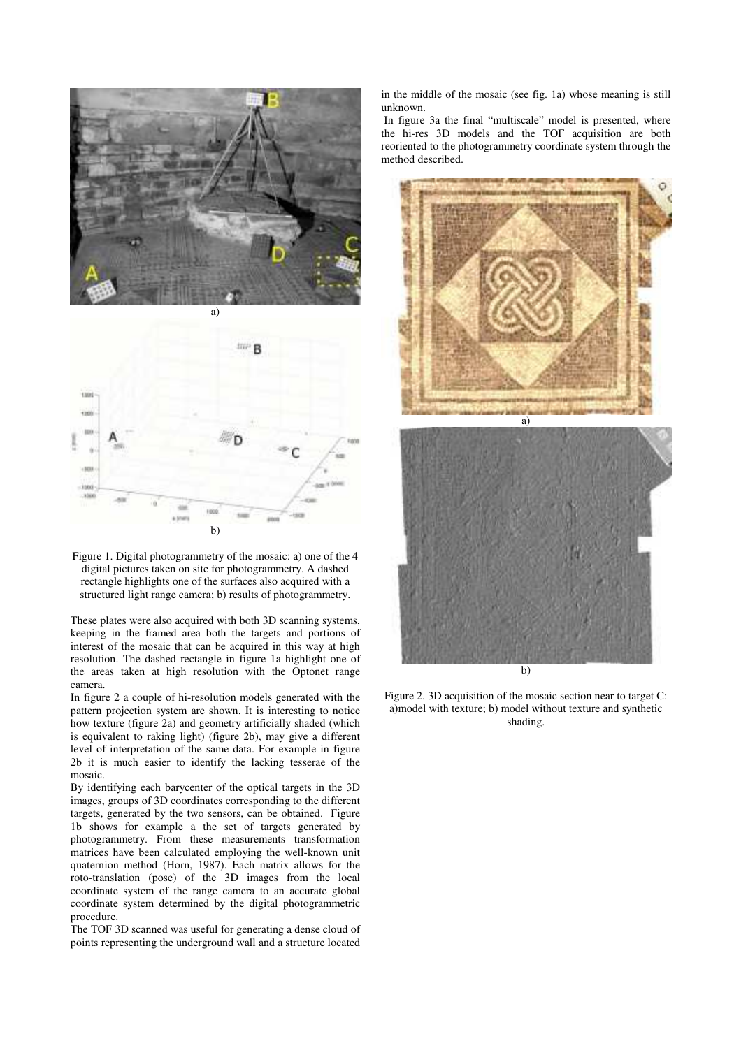



Figure 1. Digital photogrammetry of the mosaic: a) one of the 4 digital pictures taken on site for photogrammetry. A dashed rectangle highlights one of the surfaces also acquired with a structured light range camera; b) results of photogrammetry.

These plates were also acquired with both 3D scanning systems, keeping in the framed area both the targets and portions of interest of the mosaic that can be acquired in this way at high resolution. The dashed rectangle in figure 1a highlight one of the areas taken at high resolution with the Optonet range camera.

In figure 2 a couple of hi-resolution models generated with the pattern projection system are shown. It is interesting to notice how texture (figure 2a) and geometry artificially shaded (which is equivalent to raking light) (figure 2b), may give a different level of interpretation of the same data. For example in figure 2b it is much easier to identify the lacking tesserae of the mosaic.

By identifying each barycenter of the optical targets in the 3D images, groups of 3D coordinates corresponding to the different targets, generated by the two sensors, can be obtained. Figure 1b shows for example a the set of targets generated by photogrammetry. From these measurements transformation matrices have been calculated employing the well-known unit quaternion method (Horn, 1987). Each matrix allows for the roto-translation (pose) of the 3D images from the local coordinate system of the range camera to an accurate global coordinate system determined by the digital photogrammetric procedure.

The TOF 3D scanned was useful for generating a dense cloud of points representing the underground wall and a structure located

in the middle of the mosaic (see fig. 1a) whose meaning is still unknown.

 In figure 3a the final "multiscale" model is presented, where the hi-res 3D models and the TOF acquisition are both reoriented to the photogrammetry coordinate system through the method described.



Figure 2. 3D acquisition of the mosaic section near to target C: a)model with texture; b) model without texture and synthetic shading.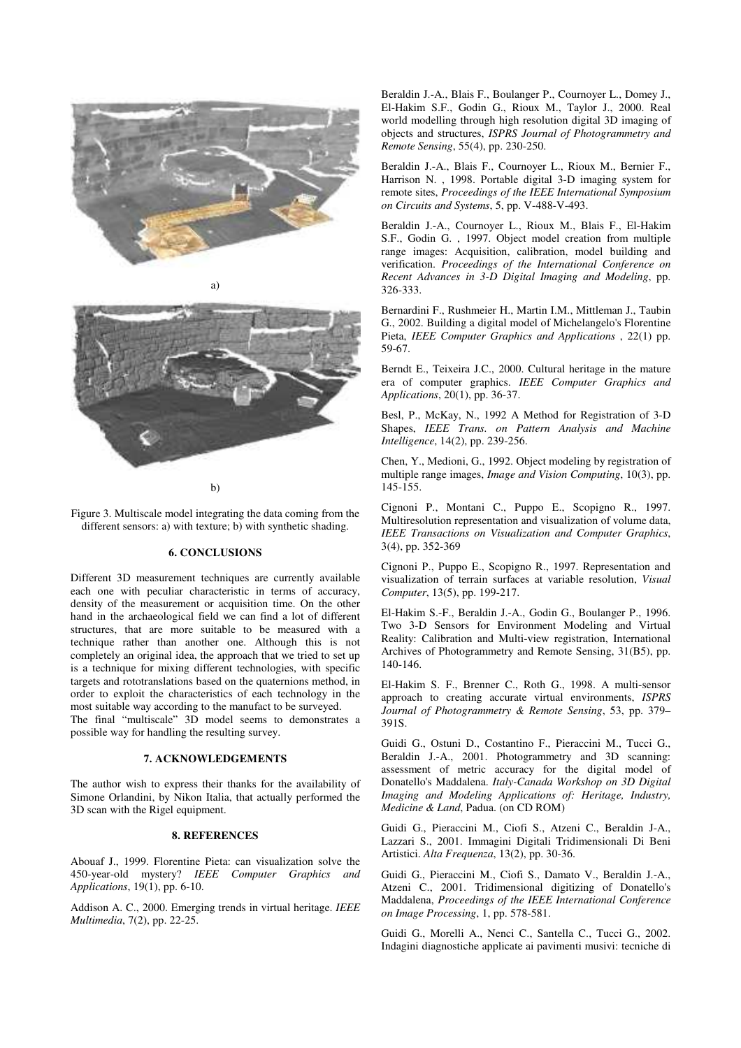

a)



b)

Figure 3. Multiscale model integrating the data coming from the different sensors: a) with texture; b) with synthetic shading.

# **6. CONCLUSIONS**

Different 3D measurement techniques are currently available each one with peculiar characteristic in terms of accuracy, density of the measurement or acquisition time. On the other hand in the archaeological field we can find a lot of different structures, that are more suitable to be measured with a technique rather than another one. Although this is not completely an original idea, the approach that we tried to set up is a technique for mixing different technologies, with specific targets and rototranslations based on the quaternions method, in order to exploit the characteristics of each technology in the most suitable way according to the manufact to be surveyed.

The final "multiscale" 3D model seems to demonstrates a possible way for handling the resulting survey.

## **7. ACKNOWLEDGEMENTS**

The author wish to express their thanks for the availability of Simone Orlandini, by Nikon Italia, that actually performed the 3D scan with the Rigel equipment.

# **8. REFERENCES**

Abouaf J., 1999. Florentine Pieta: can visualization solve the 450-year-old mystery? *IEEE Computer Graphics and Applications*, 19(1), pp. 6-10.

Addison A. C., 2000. Emerging trends in virtual heritage. *IEEE Multimedia*, 7(2), pp. 22-25.

Beraldin J.-A., Blais F., Boulanger P., Cournoyer L., Domey J., El-Hakim S.F., Godin G., Rioux M., Taylor J., 2000. Real world modelling through high resolution digital 3D imaging of objects and structures, *ISPRS Journal of Photogrammetry and Remote Sensing*, 55(4), pp. 230-250.

Beraldin J.-A., Blais F., Cournoyer L., Rioux M., Bernier F., Harrison N. , 1998. Portable digital 3-D imaging system for remote sites, *Proceedings of the IEEE International Symposium on Circuits and Systems*, 5, pp. V-488-V-493.

Beraldin J.-A., Cournoyer L., Rioux M., Blais F., El-Hakim S.F., Godin G. , 1997. Object model creation from multiple range images: Acquisition, calibration, model building and verification. *Proceedings of the International Conference on Recent Advances in 3-D Digital Imaging and Modeling*, pp. 326-333.

Bernardini F., Rushmeier H., Martin I.M., Mittleman J., Taubin G., 2002. Building a digital model of Michelangelo's Florentine Pieta, *IEEE Computer Graphics and Applications* , 22(1) pp. 59-67.

Berndt E., Teixeira J.C., 2000. Cultural heritage in the mature era of computer graphics. *IEEE Computer Graphics and Applications*, 20(1), pp. 36-37.

Besl, P., McKay, N., 1992 A Method for Registration of 3-D Shapes, *IEEE Trans. on Pattern Analysis and Machine Intelligence*, 14(2), pp. 239-256.

Chen, Y., Medioni, G., 1992. Object modeling by registration of multiple range images, *Image and Vision Computing*, 10(3), pp. 145-155.

Cignoni P., Montani C., Puppo E., Scopigno R., 1997. Multiresolution representation and visualization of volume data, *IEEE Transactions on Visualization and Computer Graphics*, 3(4), pp. 352-369

Cignoni P., Puppo E., Scopigno R., 1997. Representation and visualization of terrain surfaces at variable resolution, *Visual Computer*, 13(5), pp. 199-217.

El-Hakim S.-F., Beraldin J.-A., Godin G., Boulanger P., 1996. Two 3-D Sensors for Environment Modeling and Virtual Reality: Calibration and Multi-view registration, International Archives of Photogrammetry and Remote Sensing, 31(B5), pp. 140-146.

El-Hakim S. F., Brenner C., Roth G., 1998. A multi-sensor approach to creating accurate virtual environments, *ISPRS Journal of Photogrammetry & Remote Sensing*, 53, pp. 379– 391S.

Guidi G., Ostuni D., Costantino F., Pieraccini M., Tucci G., Beraldin J.-A., 2001. Photogrammetry and 3D scanning: assessment of metric accuracy for the digital model of Donatello's Maddalena. *Italy-Canada Workshop on 3D Digital Imaging and Modeling Applications of: Heritage, Industry, Medicine & Land*, Padua. (on CD ROM)

Guidi G., Pieraccini M., Ciofi S., Atzeni C., Beraldin J-A., Lazzari S., 2001. Immagini Digitali Tridimensionali Di Beni Artistici. *Alta Frequenza*, 13(2), pp. 30-36.

Guidi G., Pieraccini M., Ciofi S., Damato V., Beraldin J.-A., Atzeni C., 2001. Tridimensional digitizing of Donatello's Maddalena, *Proceedings of the IEEE International Conference on Image Processing*, 1, pp. 578-581.

Guidi G., Morelli A., Nenci C., Santella C., Tucci G., 2002. Indagini diagnostiche applicate ai pavimenti musivi: tecniche di